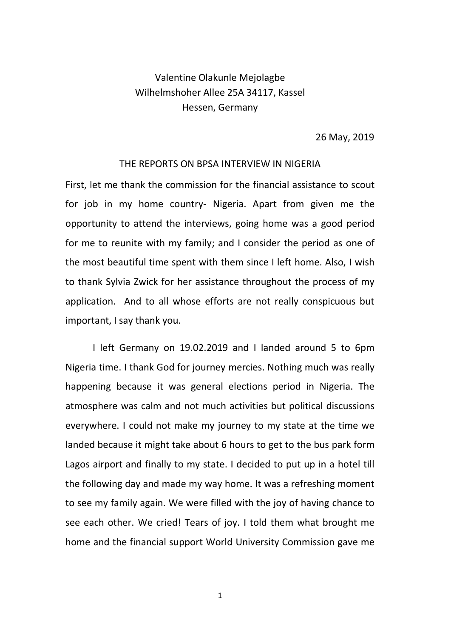## Valentine Olakunle Mejolagbe Wilhelmshoher Allee 25A 34117, Kassel Hessen, Germany

26 May, 2019

## THE REPORTS ON BPSA INTERVIEW IN NIGERIA

First, let me thank the commission for the financial assistance to scout for job in my home country- Nigeria. Apart from given me the opportunity to attend the interviews, going home was a good period for me to reunite with my family; and I consider the period as one of the most beautiful time spent with them since I left home. Also, I wish to thank Sylvia Zwick for her assistance throughout the process of my application. And to all whose efforts are not really conspicuous but important, I say thank you.

I left Germany on 19.02.2019 and I landed around 5 to 6pm Nigeria time. I thank God for journey mercies. Nothing much was really happening because it was general elections period in Nigeria. The atmosphere was calm and not much activities but political discussions everywhere. I could not make my journey to my state at the time we landed because it might take about 6 hours to get to the bus park form Lagos airport and finally to my state. I decided to put up in a hotel till the following day and made my way home. It was a refreshing moment to see my family again. We were filled with the joy of having chance to see each other. We cried! Tears of joy. I told them what brought me home and the financial support World University Commission gave me

1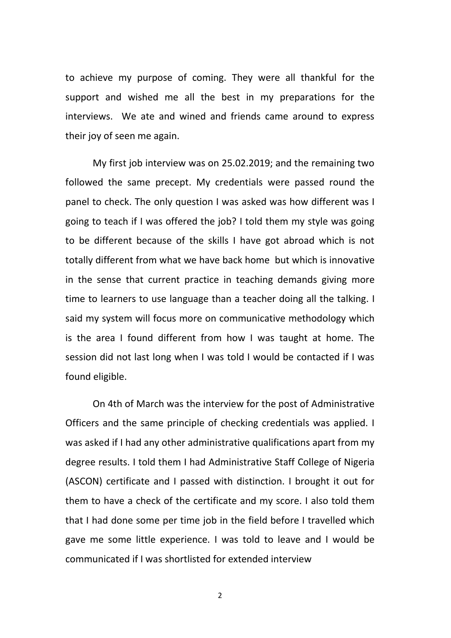to achieve my purpose of coming. They were all thankful for the support and wished me all the best in my preparations for the interviews. We ate and wined and friends came around to express their joy of seen me again.

My first job interview was on 25.02.2019; and the remaining two followed the same precept. My credentials were passed round the panel to check. The only question I was asked was how different was I going to teach if I was offered the job? I told them my style was going to be different because of the skills I have got abroad which is not totally different from what we have back home but which is innovative in the sense that current practice in teaching demands giving more time to learners to use language than a teacher doing all the talking. I said my system will focus more on communicative methodology which is the area I found different from how I was taught at home. The session did not last long when I was told I would be contacted if I was found eligible.

On 4th of March was the interview for the post of Administrative Officers and the same principle of checking credentials was applied. I was asked if I had any other administrative qualifications apart from my degree results. I told them I had Administrative Staff College of Nigeria (ASCON) certificate and I passed with distinction. I brought it out for them to have a check of the certificate and my score. I also told them that I had done some per time job in the field before I travelled which gave me some little experience. I was told to leave and I would be communicated if I was shortlisted for extended interview

2